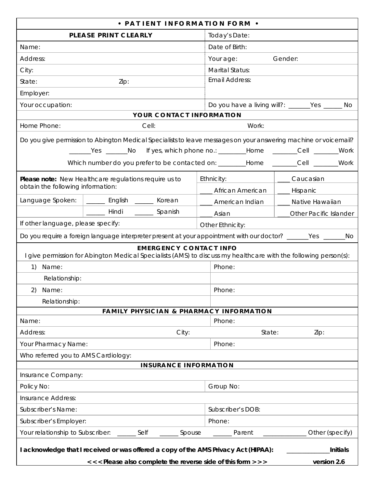| • PATIENT INFORMATION FORM •                                                                                                                                                                                                                                                                     |                                                 |  |  |  |  |
|--------------------------------------------------------------------------------------------------------------------------------------------------------------------------------------------------------------------------------------------------------------------------------------------------|-------------------------------------------------|--|--|--|--|
| PLEASE PRINT CLEARLY                                                                                                                                                                                                                                                                             | Today's Date:                                   |  |  |  |  |
| Name:                                                                                                                                                                                                                                                                                            | Date of Birth:                                  |  |  |  |  |
| Address:                                                                                                                                                                                                                                                                                         | Gender:<br>Your age:                            |  |  |  |  |
| City:                                                                                                                                                                                                                                                                                            | Marital Status:                                 |  |  |  |  |
| State:<br>Zip:                                                                                                                                                                                                                                                                                   | <b>Email Address:</b>                           |  |  |  |  |
| Employer:                                                                                                                                                                                                                                                                                        |                                                 |  |  |  |  |
| Your occupation:                                                                                                                                                                                                                                                                                 | Do you have a living will?: ______Yes ______ No |  |  |  |  |
| YOUR CONTACT INFORMATION                                                                                                                                                                                                                                                                         |                                                 |  |  |  |  |
| Home Phone:<br>Cell:                                                                                                                                                                                                                                                                             | Work:                                           |  |  |  |  |
| Do you give permission to Abington Medical Specialists to leave messages on your answering machine or voicemail?<br>_______Yes _______No If yes, which phone no.: _________Home _______Cell _______Work<br>Which number do you prefer to be contacted on: _________Home ________Cell _______Work |                                                 |  |  |  |  |
| Please note: New Healthcare regulations require us to                                                                                                                                                                                                                                            | Ethnicity:<br>Caucasian                         |  |  |  |  |
| obtain the following information:                                                                                                                                                                                                                                                                | ___ African American<br>__ Hispanic             |  |  |  |  |
| Language Spoken:<br>_____ English _____ Korean                                                                                                                                                                                                                                                   | American Indian<br>Native Hawaiian              |  |  |  |  |
| ______ Hindi ______ Spanish                                                                                                                                                                                                                                                                      | <b>Other Pacific Islander</b><br>____ Asian     |  |  |  |  |
| If other language, please specify:                                                                                                                                                                                                                                                               | Other Ethnicity:                                |  |  |  |  |
| Do you require a foreign language interpreter present at your appointment with our doctor? ______Yes ______No                                                                                                                                                                                    |                                                 |  |  |  |  |
| <b>EMERGENCY CONTACT INFO</b><br>I give permission for Abington Medical Specialists (AMS) to discuss my healthcare with the following person(s):                                                                                                                                                 |                                                 |  |  |  |  |
| Name:<br>1)                                                                                                                                                                                                                                                                                      | Phone:                                          |  |  |  |  |
| Relationship:                                                                                                                                                                                                                                                                                    |                                                 |  |  |  |  |
| 2)<br>Name:                                                                                                                                                                                                                                                                                      | Phone:                                          |  |  |  |  |
| Relationship:                                                                                                                                                                                                                                                                                    |                                                 |  |  |  |  |
| FAMILY PHYSICIAN & PHARMACY INFORMATION                                                                                                                                                                                                                                                          |                                                 |  |  |  |  |
| Name:                                                                                                                                                                                                                                                                                            | Phone:                                          |  |  |  |  |
| City:<br>Address:                                                                                                                                                                                                                                                                                | State:<br>Zip:                                  |  |  |  |  |
| Your Pharmacy Name:                                                                                                                                                                                                                                                                              | Phone:                                          |  |  |  |  |
| Who referred you to AMS Cardiology:                                                                                                                                                                                                                                                              |                                                 |  |  |  |  |
| <b>INSURANCE INFORMATION</b>                                                                                                                                                                                                                                                                     |                                                 |  |  |  |  |
| Insurance Company:                                                                                                                                                                                                                                                                               |                                                 |  |  |  |  |
| Policy No:                                                                                                                                                                                                                                                                                       | Group No:                                       |  |  |  |  |
| <b>Insurance Address:</b>                                                                                                                                                                                                                                                                        |                                                 |  |  |  |  |
| Subscriber's Name:                                                                                                                                                                                                                                                                               | Subscriber's DOB:                               |  |  |  |  |
| Subscriber's Employer:                                                                                                                                                                                                                                                                           | Phone:                                          |  |  |  |  |
| Your relationship to Subscriber: ______ Self<br>Other (specify)<br>Spouse<br>_______ Parent                                                                                                                                                                                                      |                                                 |  |  |  |  |
| I acknowledge that I received or was offered a copy of the AMS Privacy Act (HIPAA):<br>Initials                                                                                                                                                                                                  |                                                 |  |  |  |  |
| <<< Please also complete the reverse side of this form > > >                                                                                                                                                                                                                                     | version 2.6                                     |  |  |  |  |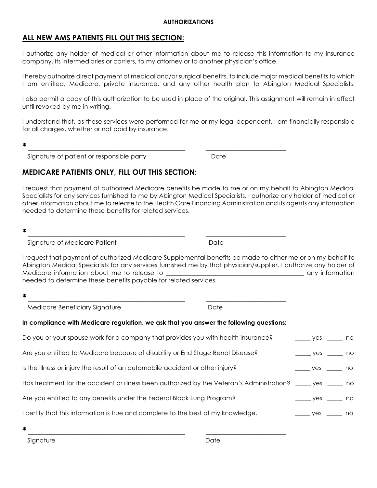## **ALL NEW AMS PATIENTS FILL OUT THIS SECTION:**

I authorize any holder of medical or other information about me to release this information to my insurance company, its intermediaries or carriers, to my attorney or to another physician's office.

I hereby authorize direct payment of medical and/or surgical benefits, to include major medical benefits to which I am entitled, Medicare, private insurance, and any other health plan to Abington Medical Specialists.

I also permit a copy of this authorization to be used in place of the original. This assignment will remain in effect until revoked by me in writing.

I understand that, as these services were performed for me or my legal dependent, I am financially responsible for all charges, whether or not paid by insurance.

**\*** \_\_\_\_\_\_\_\_\_\_\_\_\_\_\_\_\_\_\_\_\_\_\_\_\_\_\_\_\_\_\_\_\_\_\_\_\_\_\_\_\_\_\_\_\_\_\_\_\_\_\_ \_\_\_\_\_\_\_\_\_\_\_\_\_\_\_\_\_\_\_\_\_\_\_\_\_\_

Signature of patient or responsible party **Date** 

## **MEDICARE PATIENTS ONLY, FILL OUT THIS SECTION:**

I request that payment of authorized Medicare benefits be made to me or on my behalf to Abington Medical Specialists for any services furnished to me by Abington Medical Specialists. I authorize any holder of medical or other information about me to release to the Health Care Financing Administration and its agents any information needed to determine these benefits for related services.

```
* ___________________________________________________ __________________________
```
Signature of Medicare Patient **Date** Date

I request that payment of authorized Medicare Supplemental benefits be made to either me or on my behalf to Abington Medical Specialists for any services furnished me by that physician/supplier. I authorize any holder of Medicare information about me to release to example the state of the state of the state of the state of the state of the state of the state of the state of the state of the state of the state of the state of the state of t needed to determine these benefits payable for related services.

| Medicare Beneficiary Signature | Date |  |
|--------------------------------|------|--|

#### **In compliance with Medicare regulation, we ask that you answer the following questions:**

| Do you or your spouse work for a company that provides you with health insurance?                             | $\rule{1em}{0.15mm}$ yes no |                             |
|---------------------------------------------------------------------------------------------------------------|-----------------------------|-----------------------------|
| Are you entitled to Medicare because of disability or End Stage Renal Disease?                                |                             |                             |
| Is the illness or injury the result of an automobile accident or other injury?                                |                             |                             |
| Has treatment for the accident or illness been authorized by the Veteran's Administration? _____ yes _____ no |                             |                             |
| Are you entitled to any benefits under the Federal Black Lung Program?                                        |                             | $\rule{1em}{0.15mm}$ yes no |
| I certify that this information is true and complete to the best of my knowledge.                             |                             |                             |

**\*** \_\_\_\_\_\_\_\_\_\_\_\_\_\_\_\_\_\_\_\_\_\_\_\_\_\_\_\_\_\_\_\_\_\_\_\_\_\_\_\_\_\_\_\_\_\_\_\_\_\_\_ \_\_\_\_\_\_\_\_\_\_\_\_\_\_\_\_\_\_\_\_\_\_\_\_\_\_

Signature Date Date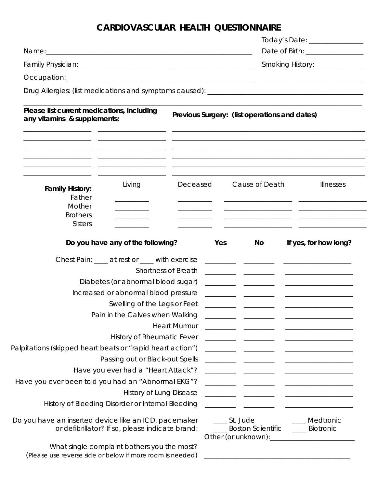# **CARDIOVASCULAR HEALTH QUESTIONNAIRE**

|                                                                                                                |                                                                                                                                  |                     |                                  |                                               |                                  | Today's Date: _______________  |
|----------------------------------------------------------------------------------------------------------------|----------------------------------------------------------------------------------------------------------------------------------|---------------------|----------------------------------|-----------------------------------------------|----------------------------------|--------------------------------|
| Name: 1988 - 1988 - 1988 - 1988 - 1988 - 1988 - 1988 - 1988 - 1988 - 1988 - 1988 - 1988 - 1988 - 1988 - 1988 - |                                                                                                                                  |                     |                                  |                                               | Date of Birth: _________________ |                                |
|                                                                                                                |                                                                                                                                  |                     | Smoking History: _______________ |                                               |                                  |                                |
|                                                                                                                |                                                                                                                                  |                     |                                  |                                               |                                  |                                |
|                                                                                                                |                                                                                                                                  |                     |                                  |                                               |                                  |                                |
| Please list current medications, including<br>any vitamins & supplements:                                      |                                                                                                                                  |                     |                                  | Previous Surgery: (list operations and dates) |                                  |                                |
|                                                                                                                | <u> 1999 - Johann John Stein, fransk politik (f. 1989)</u><br><u> 1989 - Andrea Stadt British, amerikan berlindar (h. 1989).</u> |                     |                                  |                                               |                                  |                                |
| <b>Family History:</b><br>Father                                                                               | Living                                                                                                                           | Deceased            |                                  | Cause of Death                                |                                  | <b>Illnesses</b>               |
| Mother<br><b>Brothers</b><br><b>Sisters</b>                                                                    |                                                                                                                                  |                     |                                  |                                               |                                  |                                |
|                                                                                                                | Do you have any of the following?                                                                                                |                     | Yes                              | No                                            |                                  | If yes, for how long?          |
|                                                                                                                | Chest Pain: ____ at rest or ____ with exercise                                                                                   |                     |                                  |                                               |                                  |                                |
|                                                                                                                |                                                                                                                                  | Shortness of Breath |                                  |                                               |                                  |                                |
|                                                                                                                | Diabetes (or abnormal blood sugar)                                                                                               |                     |                                  |                                               |                                  |                                |
|                                                                                                                | Increased or abnormal blood pressure                                                                                             |                     |                                  |                                               |                                  |                                |
|                                                                                                                | Swelling of the Legs or Feet                                                                                                     |                     |                                  |                                               |                                  |                                |
|                                                                                                                | Pain in the Calves when Walking                                                                                                  |                     |                                  |                                               |                                  |                                |
|                                                                                                                |                                                                                                                                  | <b>Heart Murmur</b> |                                  |                                               |                                  |                                |
|                                                                                                                | <b>History of Rheumatic Fever</b>                                                                                                |                     |                                  |                                               |                                  |                                |
| Palpitations (skipped heart beats or "rapid heart action")                                                     |                                                                                                                                  |                     |                                  |                                               |                                  |                                |
|                                                                                                                | Passing out or Black-out Spells                                                                                                  |                     |                                  |                                               |                                  |                                |
|                                                                                                                | Have you ever had a "Heart Attack"?                                                                                              |                     |                                  |                                               |                                  |                                |
| Have you ever been told you had an "Abnormal EKG"?                                                             |                                                                                                                                  |                     |                                  |                                               |                                  |                                |
|                                                                                                                | <b>History of Lung Disease</b>                                                                                                   |                     |                                  |                                               |                                  |                                |
| History of Bleeding Disorder or Internal Bleeding                                                              |                                                                                                                                  |                     |                                  |                                               |                                  |                                |
| Do you have an inserted device like an ICD, pacemaker                                                          | or defibrillator? If so, please indicate brand:                                                                                  |                     | _____ St. Jude                   | <b>Boston Scientific</b>                      |                                  | _Medtronic<br><b>Biotronic</b> |
| What single complaint bothers you the most?<br>(Please use reverse side or below if more room is needed)       |                                                                                                                                  |                     |                                  |                                               |                                  |                                |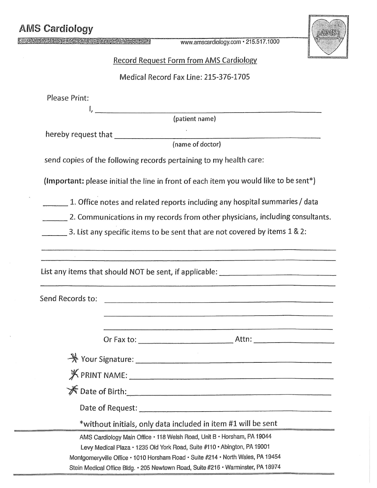| <b>AMS Cardiology</b>                                                                 |  |
|---------------------------------------------------------------------------------------|--|
| www.amscardiology.com · 215.517.1000                                                  |  |
| <b>Record Request Form from AMS Cardiology</b>                                        |  |
| Medical Record Fax Line: 215-376-1705                                                 |  |
| Please Print:                                                                         |  |
| (patient name)                                                                        |  |
|                                                                                       |  |
| (name of doctor)                                                                      |  |
| send copies of the following records pertaining to my health care:                    |  |
| (Important: please initial the line in front of each item you would like to be sent*) |  |
| 1. Office notes and related reports including any hospital summaries / data           |  |
| 2. Communications in my records from other physicians, including consultants.         |  |
| 3. List any specific items to be sent that are not covered by items 1 & 2:            |  |
|                                                                                       |  |
|                                                                                       |  |
| List any items that should NOT be sent, if applicable: _________________________      |  |
|                                                                                       |  |
| Send Records to:                                                                      |  |
|                                                                                       |  |
|                                                                                       |  |
|                                                                                       |  |
|                                                                                       |  |
|                                                                                       |  |
| <del>■ T</del> Date of Birth:                                                         |  |
|                                                                                       |  |
| *without initials, only data included in item #1 will be sent                         |  |
| AMS Cardiology Main Office · 118 Welsh Road, Unit B · Horsham, PA 19044               |  |
| Levy Medical Plaza · 1235 Old York Road, Suite #110 · Abington, PA 19001              |  |

Montgomeryville Office · 1010 Horsham Road · Suite #214 · North Wales, PA 19454

Stein Medical Office Bldg. • 205 Newtown Road, Suite #216 • Warminster, PA 18974